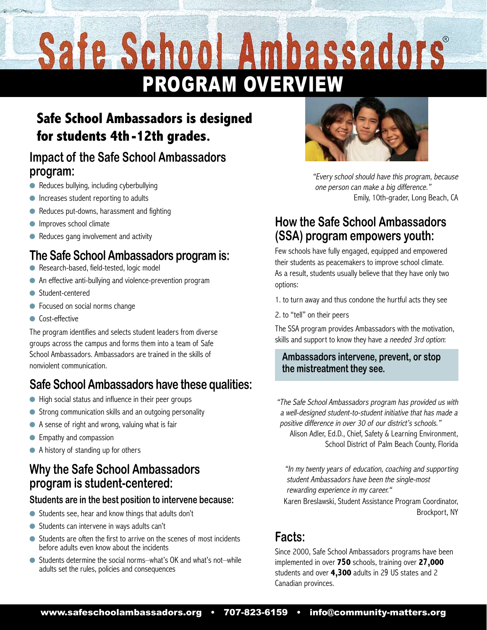# Safe School Ambassadors PROGRAM OVERVIEW

# **Safe School Ambassadors is designed for students 4th-12th grades.**

#### **Impact of the Safe School Ambassadors program:**

- Reduces bullying, including cyberbullying
- $\bullet$  Increases student reporting to adults
- $\bullet$  Reduces put-downs, harassment and fighting
- $\bullet$  Improves school climate
- $\bullet$  Reduces gang involvement and activity

## **The Safe School Ambassadors program is:**

- Research-based, field-tested, logic model
- An effective anti-bullying and violence-prevention program
- $\bullet$  Student-centered
- **•** Focused on social norms change
- $\bullet$  Cost-effective

The program identifies and selects student leaders from diverse groups across the campus and forms them into a team of Safe School Ambassadors. Ambassadors are trained in the skills of nonviolent communication.

# **Safe School Ambassadors have these qualities:**

- $\bullet$  High social status and influence in their peer groups
- Strong communication skills and an outgoing personality
- $\bullet$  A sense of right and wrong, valuing what is fair
- $\bullet$  Empathy and compassion
- A history of standing up for others

#### **Why the Safe School Ambassadors program is student-centered:**

#### **Students are in the best position to intervene because:**

- Students see, hear and know things that adults don't
- $\bullet$  Students can intervene in ways adults can't
- Students are often the first to arrive on the scenes of most incidents before adults even know about the incidents
- Students determine the social norms–what's OK and what's not–while adults set the rules, policies and consequences



"Every school should have this program, because one person can make a big difference." Emily, 10th-grader, Long Beach, CA

#### **How the Safe School Ambassadors (SSA) program empowers youth:**

Few schools have fully engaged, equipped and empowered their students as peacemakers to improve school climate. As a result, students usually believe that they have only two options:

1. to turn away and thus condone the hurtful acts they see

2. to "tell" on their peers

The SSA program provides Ambassadors with the motivation, skills and support to know they have a needed 3rd option:

#### **Ambassadors intervene, prevent, or stop the mistreatment they see.**

"The Safe School Ambassadors program has provided us with a well-designed student-to-student initiative that has made a positive difference in over 30 of our district's schools."

Alison Adler, Ed.D., Chief, Safety & Learning Environment, School District of Palm Beach County, Florida

"In my twenty years of education, coaching and supporting student Ambassadors have been the single-most rewarding experience in my career."

Karen Breslawski, Student Assistance Program Coordinator, Brockport, NY

### **Facts:**

Since 2000, Safe School Ambassadors programs have been implemented in over **750** schools, training over **27,000** students and over **4,300** adults in 29 US states and 2 Canadian provinces.